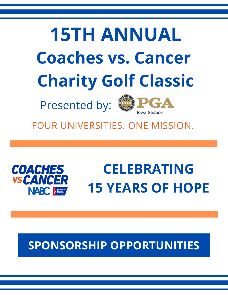# **15TH ANNUAL Coaches vs. Cancer Charity Golf Classic**

Presented by:



FOUR UNIVERSITIES. ONE MISSION.



# **CELEBRATING 15 YEARS OF HOPE**

### **SPONSORSHIP OPPORTUNITIES**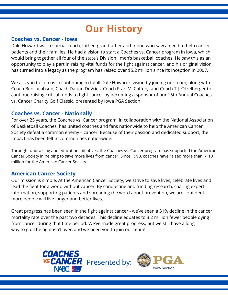### **Our History**

### **Coaches vs. Cancer - Iowa**

Dale Howard was a special coach, father, grandfather and friend who saw a need to help cancer patients and their families. He had a vision to start a Coaches vs. Cancer program in Iowa, which would bring together all four of the state's Division I men's basketball coaches. He saw this as an opportunity to play a part in raising vital funds for the fight against cancer, and his original vision has turned into a legacy as the program has raised over \$5.2 million since its inception in 2007.

We ask you to join us in continuing to fulfill Dale Howard's vision by joining our team, along with Coach Ben Jacobson, Coach Darian DeVries, Coach Fran McCaffery, and Coach T.J. Otzelberger to continue raising critical funds to fight cancer by becoming a sponsor of our 15th Annual Coaches vs. Cancer Charity Golf Classic, presented by Iowa PGA Section.

### **Coaches vs. Cancer - Nationally**

For over 25 years, the Coaches vs. Cancer program, in collaboration with the National Association of Basketball Coaches, has united coaches and fans nationwide to help the American Cancer Society defeat a common enemy – cancer. Because of their passion and dedicated support, the impact has been felt in communities nationwide.

Through fundraising and education initiatives, the Coaches vs. Cancer program has supported the American Cancer Society in helping to save more lives from cancer. Since 1993, coaches have raised more than \$110 million for the American Cancer Society.

### **American Cancer Society**

Our mission is simple. At the American Cancer Society, we strive to save lives, celebrate lives and lead the fight for a world without cancer. By conducting and funding research, sharing expert information, supporting patients and spreading the word about prevention, we are confident more people will live longer and better lives.

Great progress has been seen in the fight against cancer - we've seen a 31% decline in the cancer mortality rate over the past two decades. This decline equates to 3.2 million fewer people dying from cancer during that time period. We've made great progress, but we still have a long way to go. The fight isn't over, and we need you to join our team!

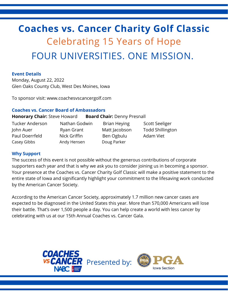### **Coaches vs. Cancer Charity Golf Classic** Celebrating 15 Years of Hope FOUR UNIVERSITIES. ONE MISSION.

#### **Event Details**

Monday, August 22, 2022 Glen Oaks County Club, West Des Moines, Iowa

To sponsor visit: www.coachesvscancergolf.com

#### **Coaches vs. Cancer Board of Ambassadors**

#### **Honorary Chair:** Steve Howard **Board Chair:** Denny Presnall

Tucker Anderson Nathan Godwin Brian Heying Scott Seeliger John Auer **Ryan Grant** Matt Jacobson Todd Shillington Paul Doerrfeld Nick Griffin Ben Ogbulu Adam Viet Casey Gibbs **Andy Hensen** Doug Parker

#### **Why Support**

The success of this event is not possible without the generous contributions of corporate supporters each year and that is why we ask you to consider joining us in becoming a sponsor. Your presence at the Coaches vs. Cancer Charity Golf Classic will make a positive statement to the entire state of Iowa and significantly highlight your commitment to the lifesaving work conducted by the American Cancer Society.

According to the American Cancer Society, approximately 1.7 million new cancer cases are expected to be diagnosed in the United States this year. More than 570,000 Americans will lose their battle. That's over 1,500 people a day. You can help create a world with less cancer by celebrating with us at our 15th Annual Coaches vs. Cancer Gala.

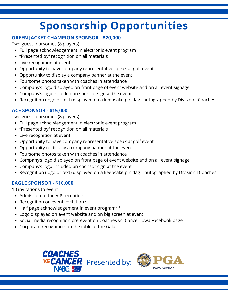### **Sponsorship Opportunities**

### **GREEN JACKET CHAMPION SPONSOR - \$20,000**

Two guest foursomes (8 players)

- Full page acknowledgement in electronic event program
- "Presented by" recognition on all materials
- Live recognition at event
- Opportunity to have company representative speak at golf event
- Opportunity to display a company banner at the event
- Foursome photos taken with coaches in attendance
- Company's logo displayed on front page of event website and on all event signage
- Company's logo included on sponsor sign at the event
- Recognition (logo or text) displayed on a keepsake pin flag –autographed by Division I Coaches

### **ACE SPONSOR - \$15,000**

Two guest foursomes (8 players)

- Full page acknowledgement in electronic event program
- "Presented by" recognition on all materials
- Live recognition at event
- Opportunity to have company representative speak at golf event
- Opportunity to display a company banner at the event
- Foursome photos taken with coaches in attendance
- Company's logo displayed on front page of event website and on all event signage
- Company's logo included on sponsor sign at the event
- Recognition (logo or text) displayed on a keepsake pin flag autographed by Division I Coaches

### **EAGLE SPONSOR - \$10,000**

10 invitations to event

- Admission to the VIP reception
- Recognition on event invitation\*
- Half page acknowledgement in event program\*\*
- Logo displayed on event website and on big screen at event
- Social media recognition pre-event on Coaches vs. Cancer Iowa Facebook page
- Corporate recognition on the table at the Gala



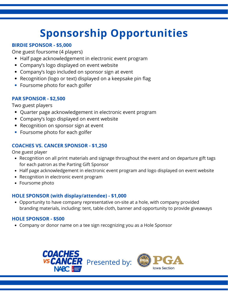## **Sponsorship Opportunities**

### **BIRDIE SPONSOR - \$5,000**

One guest foursome (4 players)

- Half page acknowledgement in electronic event program
- Company's logo displayed on event website
- Company's logo included on sponsor sign at event
- Recognition (logo or text) displayed on a keepsake pin flag
- Foursome photo for each golfer

### **PAR SPONSOR - \$2,500**

Two guest players

- Quarter page acknowledgement in electronic event program
- Company's logo displayed on event website
- Recognition on sponsor sign at event
- Foursome photo for each golfer

### **COACHES VS. CANCER SPONSOR - \$1,250**

One guest player

- Recognition on all print materials and signage throughout the event and on departure gift tags for each patron as the Parting Gift Sponsor
- Half page acknowledgement in electronic event program and logo displayed on event website
- Recognition in electronic event program
- Foursome photo

#### **HOLE SPONSOR (with display/attendee) - \$1,000**

Opportunity to have company representative on-site at a hole, with company provided branding materials, including: tent, table cloth, banner and opportunity to provide giveaways

### **HOLE SPONSOR - \$500**

Company or donor name on a tee sign recognizing you as a Hole Sponsor

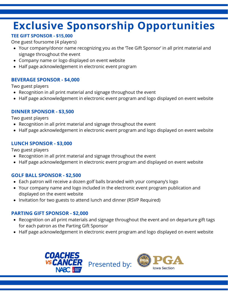### **Exclusive Sponsorship Opportunities**

### **TEE GIFT SPONSOR - \$15,000**

One guest foursome (4 players)

- Your company/donor name recognizing you as the 'Tee Gift Sponsor' in all print material and signage throughout the event
- Company name or logo displayed on event website
- Half page acknowledgement in electronic event program

### **BEVERAGE SPONSOR - \$4,000**

Two guest players

- Recognition in all print material and signage throughout the event
- Half page acknowledgement in electronic event program and logo displayed on event website

### **DINNER SPONSOR - \$3,500**

Two guest players

- Recognition in all print material and signage throughout the event
- Half page acknowledgement in electronic event program and logo displayed on event website

### **LUNCH SPONSOR - \$3,000**

Two guest players

- Recognition in all print material and signage throughout the event
- Half page acknowledgement in electronic event program and displayed on event website

### **GOLF BALL SPONSOR - \$2,500**

- Each patron will receive a dozen golf balls branded with your company's logo
- Your company name and logo included in the electronic event program publication and displayed on the event website
- Invitation for two guests to attend lunch and dinner (RSVP Required)

### **PARTING GIFT SPONSOR - \$2,000**

- Recognition on all print materials and signage throughout the event and on departure gift tags for each patron as the Parting Gift Sponsor
- Half page acknowledgement in electronic event program and logo displayed on event website